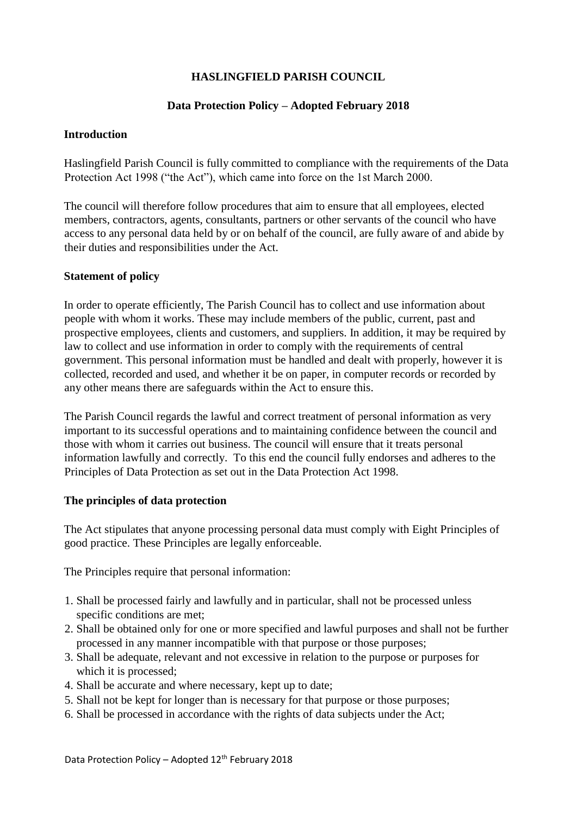# **HASLINGFIELD PARISH COUNCIL**

### **Data Protection Policy – Adopted February 2018**

### **Introduction**

Haslingfield Parish Council is fully committed to compliance with the requirements of the Data Protection Act 1998 ("the Act"), which came into force on the 1st March 2000.

The council will therefore follow procedures that aim to ensure that all employees, elected members, contractors, agents, consultants, partners or other servants of the council who have access to any personal data held by or on behalf of the council, are fully aware of and abide by their duties and responsibilities under the Act.

### **Statement of policy**

In order to operate efficiently, The Parish Council has to collect and use information about people with whom it works. These may include members of the public, current, past and prospective employees, clients and customers, and suppliers. In addition, it may be required by law to collect and use information in order to comply with the requirements of central government. This personal information must be handled and dealt with properly, however it is collected, recorded and used, and whether it be on paper, in computer records or recorded by any other means there are safeguards within the Act to ensure this.

The Parish Council regards the lawful and correct treatment of personal information as very important to its successful operations and to maintaining confidence between the council and those with whom it carries out business. The council will ensure that it treats personal information lawfully and correctly. To this end the council fully endorses and adheres to the Principles of Data Protection as set out in the Data Protection Act 1998.

#### **The principles of data protection**

The Act stipulates that anyone processing personal data must comply with Eight Principles of good practice. These Principles are legally enforceable.

The Principles require that personal information:

- 1. Shall be processed fairly and lawfully and in particular, shall not be processed unless specific conditions are met;
- 2. Shall be obtained only for one or more specified and lawful purposes and shall not be further processed in any manner incompatible with that purpose or those purposes;
- 3. Shall be adequate, relevant and not excessive in relation to the purpose or purposes for which it is processed;
- 4. Shall be accurate and where necessary, kept up to date;
- 5. Shall not be kept for longer than is necessary for that purpose or those purposes;
- 6. Shall be processed in accordance with the rights of data subjects under the Act;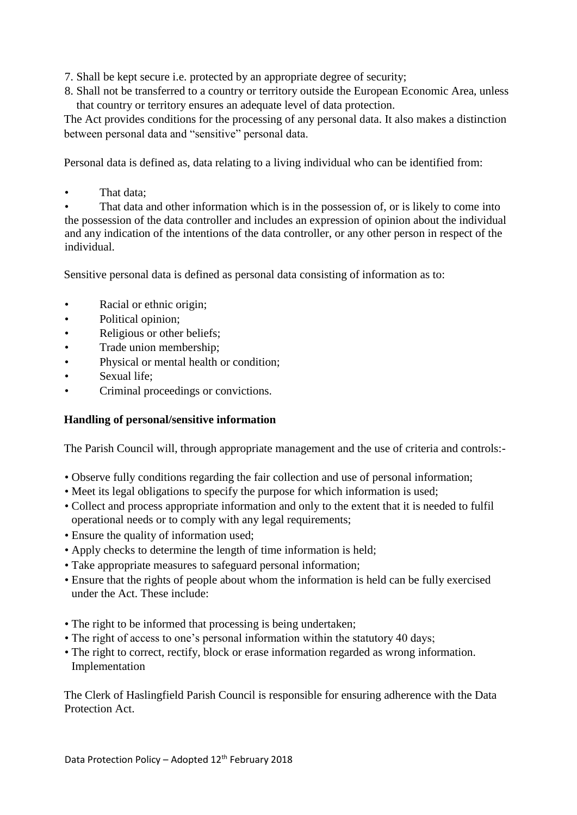- 7. Shall be kept secure i.e. protected by an appropriate degree of security;
- 8. Shall not be transferred to a country or territory outside the European Economic Area, unless that country or territory ensures an adequate level of data protection.

The Act provides conditions for the processing of any personal data. It also makes a distinction between personal data and "sensitive" personal data.

Personal data is defined as, data relating to a living individual who can be identified from:

That data:

That data and other information which is in the possession of, or is likely to come into the possession of the data controller and includes an expression of opinion about the individual and any indication of the intentions of the data controller, or any other person in respect of the individual.

Sensitive personal data is defined as personal data consisting of information as to:

- Racial or ethnic origin;
- Political opinion;
- Religious or other beliefs;
- Trade union membership;
- Physical or mental health or condition;
- Sexual life;
- Criminal proceedings or convictions.

## **Handling of personal/sensitive information**

The Parish Council will, through appropriate management and the use of criteria and controls:-

- Observe fully conditions regarding the fair collection and use of personal information;
- Meet its legal obligations to specify the purpose for which information is used;
- Collect and process appropriate information and only to the extent that it is needed to fulfil operational needs or to comply with any legal requirements;
- Ensure the quality of information used;
- Apply checks to determine the length of time information is held;
- Take appropriate measures to safeguard personal information;
- Ensure that the rights of people about whom the information is held can be fully exercised under the Act. These include:
- The right to be informed that processing is being undertaken;
- The right of access to one's personal information within the statutory 40 days;
- The right to correct, rectify, block or erase information regarded as wrong information. Implementation

The Clerk of Haslingfield Parish Council is responsible for ensuring adherence with the Data Protection Act.